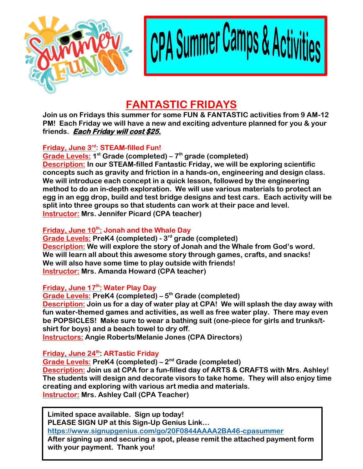

CPA Summer Camps & Act

# **FANTASTIC FRIDAYS**

**Join us on Fridays this summer for some FUN & FANTASTIC activities from 9 AM-12 PM! Each Friday we will have a new and exciting adventure planned for you & your friends. Each Friday will cost \$25.**

### **Friday, June 3rd: STEAM-filled Fun!**

**Grade Levels: 1 st Grade (completed) – 7 th grade (completed) Description: In our STEAM-filled Fantastic Friday, we will be exploring scientific concepts such as gravity and friction in a hands-on, engineering and design class. We will introduce each concept in a quick lesson, followed by the engineering method to do an in-depth exploration. We will use various materials to protect an egg in an egg drop, build and test bridge designs and test cars. Each activity will be split into three groups so that students can work at their pace and level. Instructor: Mrs. Jennifer Picard (CPA teacher)**

# **Friday, June 10th: Jonah and the Whale Day**

**Grade Levels: PreK4 (completed) - 3 rd grade (completed) Description: We will explore the story of Jonah and the Whale from God's word. We will learn all about this awesome story through games, crafts, and snacks! We will also have some time to play outside with friends! Instructor: Mrs. Amanda Howard (CPA teacher)** 

# **Friday, June 17th: Water Play Day**

**Grade Levels: PreK4 (completed) – 5 th Grade (completed) Description: Join us for a day of water play at CPA! We will splash the day away with fun water-themed games and activities, as well as free water play. There may even be POPSICLES! Make sure to wear a bathing suit (one-piece for girls and trunks/tshirt for boys) and a beach towel to dry off.** 

**Instructors: Angie Roberts/Melanie Jones (CPA Directors)**

# **Friday, June 24th: ARTastic Friday**

**Grade Levels: PreK4 (completed) – 2 nd Grade (completed)**

**Description: Join us at CPA for a fun-filled day of ARTS & CRAFTS with Mrs. Ashley! The students will design and decorate visors to take home. They will also enjoy time creating and exploring with various art media and materials. Instructor: Mrs. Ashley Call (CPA Teacher)**

 **<https://www.signupgenius.com/go/20F0844AAAA2BA46-cpasummer> Limited space available. Sign up today! PLEASE SIGN UP at this Sign-Up Genius Link… After signing up and securing a spot, please remit the attached payment form with your payment. Thank you!**